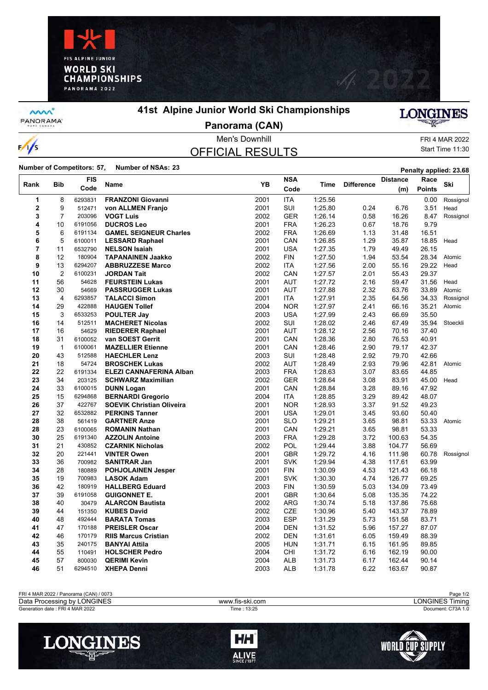



**MW** PANORAMA

 $\frac{1}{s}$ 

## **41st Alpine Junior World Ski Championships**



**Panorama (CAN)**

# OFFICIAL RESULTS

Men's Downhill FRI 4 MAR 2022 Start Time 11:30

## Number of Competitors: 57, Number of NSAs: 23<br>**Penalty applied: 23.68**

|      |                         | <b>FIS</b> |                                             |              | <b>NSA</b> |         |                   | <b>Distance</b>  | Race           |           |
|------|-------------------------|------------|---------------------------------------------|--------------|------------|---------|-------------------|------------------|----------------|-----------|
| Rank | <b>Bib</b>              | Code       | Name                                        | <b>YB</b>    | Code       | Time    | <b>Difference</b> | (m)              | <b>Points</b>  | Ski       |
| 1    | 8                       | 6293831    | <b>FRANZONI Giovanni</b>                    | 2001         | <b>ITA</b> | 1:25.56 |                   |                  | 0.00           | Rossignol |
| 2    | 9                       | 512471     | von ALLMEN Franjo                           | 2001         | SUI        | 1:25.80 | 0.24              | 6.76             | 3.51           | Head      |
| 3    | $\overline{7}$          | 203096     | <b>VOGT Luis</b>                            | 2002         | <b>GER</b> | 1.26.14 | 0.58              | 16.26            | 8.47           | Rossignol |
| 4    | 10                      | 6191056    | <b>DUCROS Leo</b>                           | 2001         | <b>FRA</b> | 1:26.23 | 0.67              | 18.76            | 9.79           |           |
| 5    | 6                       | 6191134    | <b>GAMEL SEIGNEUR Charles</b>               | 2002         | <b>FRA</b> | 1:26.69 | 1.13              | 31.48            | 16.51          |           |
| 6    | 5                       | 6100011    | <b>LESSARD Raphael</b>                      | 2001         | CAN        | 1:26.85 | 1.29              | 35.87            | 18.85          | Head      |
| 7    | 11                      | 6532790    | <b>NELSON Isaiah</b>                        | 2001         | <b>USA</b> | 1:27.35 | 1.79              | 49.49            | 26.15          |           |
| 8    | 12                      | 180904     | <b>TAPANAINEN Jaakko</b>                    | 2002         | <b>FIN</b> | 1:27.50 | 1.94              | 53.54            | 28.34          | Atomic    |
| 9    | 13                      | 6294207    | <b>ABBRUZZESE Marco</b>                     | 2002         | <b>ITA</b> | 1:27.56 | 2.00              | 55.16            | 29.22          | Head      |
| 10   | $\overline{2}$          | 6100231    | <b>JORDAN Tait</b>                          | 2002         | CAN        | 1:27.57 | 2.01              | 55.43            | 29.37          |           |
| 11   | 56                      | 54628      | <b>FEURSTEIN Lukas</b>                      | 2001         | <b>AUT</b> | 1:27.72 | 2.16              | 59.47            | 31.56          | Head      |
| 12   | 30                      | 54669      | <b>PASSRUGGER Lukas</b>                     | 2001         | <b>AUT</b> | 1:27.88 | 2.32              | 63.76            | 33.89          | Atomic    |
| 13   | $\overline{\mathbf{4}}$ | 6293857    | <b>TALACCI Simon</b>                        | 2001         | <b>ITA</b> | 1:27.91 | 2.35              | 64.56            | 34.33          | Rossignol |
| 14   | 29                      | 422888     | <b>HAUGEN Tollef</b>                        | 2004         | <b>NOR</b> | 1:27.97 | 2.41              | 66.16            | 35.21          | Atomic    |
| 15   | 3                       | 6533253    | <b>POULTER Jay</b>                          | 2003         | <b>USA</b> | 1:27.99 | 2.43              | 66.69            | 35.50          |           |
| 16   | 14                      | 512511     | <b>MACHERET Nicolas</b>                     | 2002         | SUI        | 1:28.02 | 2.46              | 67.49            | 35.94          | Stoeckli  |
| 17   | 16                      | 54629      | <b>RIEDERER Raphael</b>                     | 2001         | <b>AUT</b> | 1:28.12 | 2.56              | 70.16            | 37.40          |           |
| 18   | 31                      | 6100052    | van SOEST Gerrit                            | 2001         | CAN        | 1:28.36 | 2.80              | 76.53            | 40.91          |           |
| 19   | $\mathbf{1}$            | 6100061    | <b>MAZELLIER Etienne</b>                    | 2001         | CAN        | 1:28.46 | 2.90              | 79.17            | 42.37          |           |
| 20   | 43                      | 512588     | <b>HAECHLER Lenz</b>                        | 2003         | SUI        | 1:28.48 | 2.92              | 79.70            | 42.66          |           |
| 21   | 18                      | 54724      | <b>BROSCHEK Lukas</b>                       | 2002         | <b>AUT</b> | 1:28.49 | 2.93              | 79.96            | 42.81          | Atomic    |
| 22   | 22                      | 6191334    | <b>ELEZI CANNAFERINA Alban</b>              | 2003         | <b>FRA</b> | 1:28.63 | 3.07              | 83.65            | 44.85          |           |
| 23   | 34                      | 203125     | <b>SCHWARZ Maximilian</b>                   | 2002         | <b>GER</b> | 1:28.64 | 3.08              | 83.91            | 45.00          | Head      |
| 24   | 33                      | 6100015    | <b>DUNN Logan</b>                           | 2001         | CAN        | 1:28.84 | 3.28              | 89.16            | 47.92          |           |
| 25   | 15                      | 6294868    | <b>BERNARDI Gregorio</b>                    | 2004         | <b>ITA</b> | 1:28.85 | 3.29              | 89.42            | 48.07          |           |
| 26   | 37                      | 422767     | <b>SOEVIK Christian Oliveira</b>            | 2001         | <b>NOR</b> | 1:28.93 | 3.37              | 91.52            | 49.23          |           |
| 27   | 32                      | 6532882    | <b>PERKINS Tanner</b>                       | 2001         | <b>USA</b> | 1:29.01 | 3.45              | 93.60            | 50.40          |           |
| 28   | 38                      | 561419     | <b>GARTNER Anze</b>                         | 2001         | <b>SLO</b> | 1:29.21 | 3.65              | 98.81            | 53.33          | Atomic    |
| 28   | 23                      | 6100065    | <b>ROMANIN Nathan</b>                       | 2001         | CAN        | 1:29.21 | 3.65              | 98.81            | 53.33          |           |
| 30   | 25                      | 6191340    | <b>AZZOLIN Antoine</b>                      | 2003         | <b>FRA</b> | 1:29.28 | 3.72              | 100.63           | 54.35          |           |
| 31   | 21                      | 430852     | <b>CZARNIK Nicholas</b>                     | 2002         | <b>POL</b> | 1:29.44 | 3.88              | 104.77           | 56.69          |           |
| 32   | 20                      | 221441     | <b>VINTER Owen</b>                          | 2001         | <b>GBR</b> | 1:29.72 | 4.16              | 111.98           | 60.78          |           |
| 33   | 36                      | 700982     | <b>SANITRAR Jan</b>                         | 2001         | <b>SVK</b> | 1:29.94 | 4.38              | 117.61           | 63.99          | Rossignol |
| 34   | 28                      | 180889     |                                             | 2001         | <b>FIN</b> | 1:30.09 | 4.53              |                  | 66.18          |           |
| 35   | 19                      | 700983     | <b>POHJOLAINEN Jesper</b>                   |              | <b>SVK</b> |         |                   | 121.43<br>126.77 |                |           |
| 36   | 42                      | 180919     | <b>LASOK Adam</b><br><b>HALLBERG Eduard</b> | 2001<br>2003 | FIN        | 1:30.30 | 4.74<br>5.03      | 134.09           | 69.25<br>73.49 |           |
|      | 39                      |            |                                             |              |            | 1:30.59 |                   |                  | 74.22          |           |
| 37   |                         | 6191058    | <b>GUIGONNET E.</b>                         | 2001         | GBR        | 1:30.64 | 5.08              | 135.35           |                |           |
| 38   | 40                      | 30479      | <b>ALARCON Bautista</b>                     | 2002         | <b>ARG</b> | 1:30.74 | 5.18              | 137.86           | 75.68          |           |
| 39   | 44                      | 151350     | <b>KUBES David</b>                          | 2002         | <b>CZE</b> | 1:30.96 | 5.40              | 143.37           | 78.89          |           |
| 40   | 48                      | 492444     | <b>BARATA Tomas</b>                         | 2003         | <b>ESP</b> | 1:31.29 | 5.73              | 151.58           | 83.71          |           |
| 41   | 47                      | 170188     | <b>PREISLER Oscar</b>                       | 2004         | <b>DEN</b> | 1:31.52 | 5.96              | 157.27           | 87.07          |           |
| 42   | 46                      | 170179     | <b>RIIS Marcus Cristian</b>                 | 2002         | <b>DEN</b> | 1:31.61 | 6.05              | 159.49           | 88.39          |           |
| 43   | 35                      | 240175     | <b>BANYAI Attila</b>                        | 2005         | <b>HUN</b> | 1:31.71 | 6.15              | 161.95           | 89.85          |           |
| 44   | 55                      | 110491     | <b>HOLSCHER Pedro</b>                       | 2004         | CHI        | 1:31.72 | 6.16              | 162.19           | 90.00          |           |
| 45   | 57                      | 800030     | <b>QERIMI Kevin</b>                         | 2004         | <b>ALB</b> | 1:31.73 | 6.17              | 162.44           | 90.14          |           |
| 46   | 51                      | 6294510    | <b>XHEPA Denni</b>                          | 2003         | <b>ALB</b> | 1:31.78 | 6.22              | 163.67           | 90.87          |           |

| FRI 4 MAR 2022 / Panorama (CAN) / 0073 |                 | Page 1/2                     |
|----------------------------------------|-----------------|------------------------------|
| <b>LONGINES</b><br>Data Processing by  | www.fis-ski.com | <b>LONGINES Ti</b><br>Fimina |
| Generation date: FRI 4 MAR 2022        | Time: 13:25     | Document: C73A 1.0           |
|                                        |                 |                              |